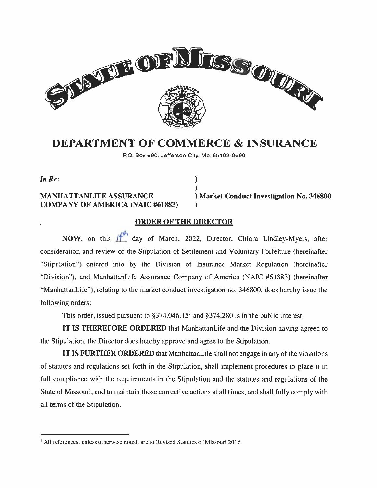

# DEPARTMENT OF COMMERCE & INSURANCE

P.O. Box 690, Jefferson City. Mo. 65102-0690

)

In Re:  $\qquad \qquad$  )

#### MANHATTANLIFE ASSURANCE ) Market Conduct Investigation No. <sup>346800</sup> COMPANY OF AMERICA (NAIC #61883)

### ORDER OF THE DIRECTOR

NOW, on this  $\|f^{th}\|$  day of March, 2022, Director, Chlora Lindley-Myers, after consideration and review of the Stipulation of Settlement and Voluntary Forfeiture (hereinafter "Stipulation") entered into by the Division of Insurance Market Regulation (hereinafter "Division"), and ManhattanLife Assurance Company of America (NAIC #6 1883) (hereinafter "ManhattanLife"), relating to the market conduct investigation no. 346800, does hereby issue the following orders:

This order, issued pursuant to  $\S 374.046.15<sup>1</sup>$  and  $\S 374.280$  is in the public interest.

IT IS THEREFORE ORDERED that ManhattanLife and the Division having agreed to the Stipulation, the Director does hereby approve and agree to the Stipulation.

IT IS FURTHER ORDERED that ManhattanLife shall not engage in any of the violations of statutes and regulations set forth in the Stipulation, shall implement procedures to place it in full compliance with the requirements in the Stipulation and the statutes and regulations of the State of Missouri, and to maintain those corrective actions at all times, and shall fully comply with all terms of the Stipulation.

<sup>&</sup>lt;sup>1</sup> All references, unless otherwise noted, are to Revised Statutes of Missouri 2016.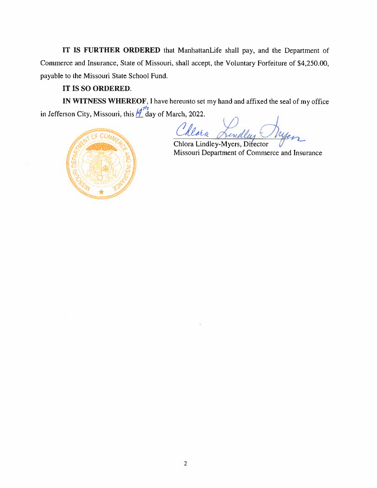IT IS FURTHER ORDERED that ManhattanLife shall pay. and the Department of Commerce and Insurance, State of Missouri, shall accept, the Voluntary Forfeiture of \$4,250.00, payable to the Missouri State School Fund.

# IT IS SO ORDERED.

IN WITNESS WHEREOF, I have hereunto set my hand and affixed the seal of my office in Jefferson City, Missouri, this  $\underline{A}^{\overrightarrow{p}_1}$  day of March, 2022.

Vorn

Chlora Lindley-Myers, Di<del>fe</del>ctor Missouri Department of Commerce and Insurance

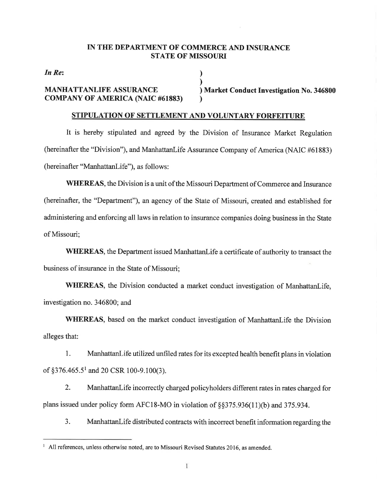#### IN THE DEPARTMENT OF COMMERCE AND INSURANCE **STATE OF MISSOURI**

In Re:

#### **MANHATTANLIFE ASSURANCE COMPANY OF AMERICA (NAIC #61883)**

) Market Conduct Investigation No. 346800

# STIPULATION OF SETTLEMENT AND VOLUNTARY FORFEITURE

It is hereby stipulated and agreed by the Division of Insurance Market Regulation (hereinafter the "Division"), and ManhattanLife Assurance Company of America (NAIC #61883) (hereinafter "ManhattanLife"), as follows:

**WHEREAS, the Division is a unit of the Missouri Department of Commerce and Insurance** (hereinafter, the "Department"), an agency of the State of Missouri, created and established for administering and enforcing all laws in relation to insurance companies doing business in the State of Missouri;

**WHEREAS**, the Department issued ManhattanLife a certificate of authority to transact the business of insurance in the State of Missouri:

WHEREAS, the Division conducted a market conduct investigation of ManhattanLife. investigation no. 346800; and

WHEREAS, based on the market conduct investigation of ManhattanLife the Division alleges that:

1. ManhattanLife utilized unfiled rates for its excepted health benefit plans in violation of  $\S 376.465.5^1$  and 20 CSR 100-9.100(3).

 $\overline{2}$ . ManhattanLife incorrectly charged policyholders different rates in rates charged for plans issued under policy form AFC18-MO in violation of §§375.936(11)(b) and 375.934.

 $3.$ ManhattanLife distributed contracts with incorrect benefit information regarding the

<sup>&</sup>lt;sup>1</sup> All references, unless otherwise noted, are to Missouri Revised Statutes 2016, as amended.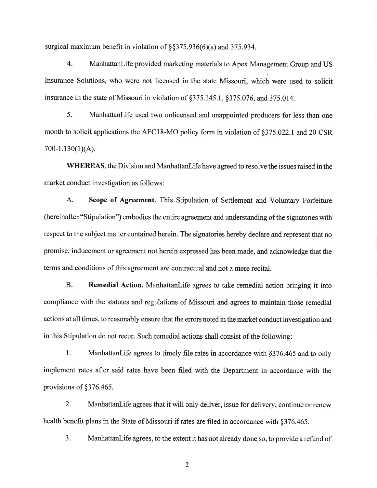surgical maximum benefit in violation of  $\S$ \$375.936(6)(a) and 375.934.

 $\overline{4}$ . ManhattanLife provided marketing materials to Apex Management Group and US Insurance Solutions, who were not licensed in the state Missouri, which were used to solicit insurance in the state of Missouri in violation of §375.145.1, §375.076, and 375.014.

5. ManhattanLife used two unlicensed and unappointed producers for less than one month to solicit applications the AFC18-MO policy form in violation of §375.022.1 and 20 CSR  $700-1.130(1)(A)$ .

**WHEREAS**, the Division and Manhattan Life have agreed to resolve the issues raised in the market conduct investigation as follows:

 $A.$ Scope of Agreement. This Stipulation of Settlement and Voluntary Forfeiture (hereinafter "Stipulation") embodies the entire agreement and understanding of the signatories with respect to the subject matter contained herein. The signatories hereby declare and represent that no promise, inducement or agreement not herein expressed has been made, and acknowledge that the terms and conditions of this agreement are contractual and not a mere recital.

**B.** Remedial Action. ManhattanLife agrees to take remedial action bringing it into compliance with the statutes and regulations of Missouri and agrees to maintain those remedial actions at all times, to reasonably ensure that the errors noted in the market conduct investigation and in this Stipulation do not recur. Such remedial actions shall consist of the following:

 $1.$ ManhattanLife agrees to timely file rates in accordance with §376.465 and to only implement rates after said rates have been filed with the Department in accordance with the provisions of §376.465.

 $2.$ ManhattanLife agrees that it will only deliver, issue for delivery, continue or renew health benefit plans in the State of Missouri if rates are filed in accordance with §376.465.

3. ManhattanLife agrees, to the extent it has not already done so, to provide a refund of

 $\overline{2}$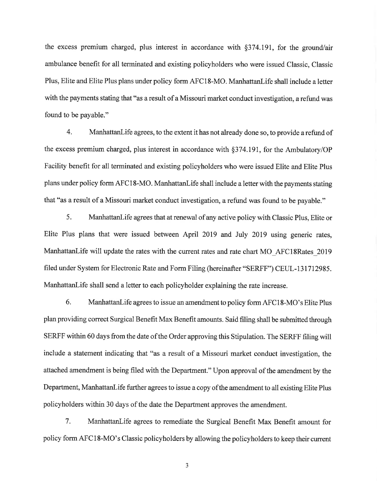the excess premium charged, plus interest in accordance with §374.191, for the ground/air ambulance benefit for all terminated and existing policyholders who were issued Classic, Classic Plus, Elite and Elite Plus plans under policy form AFC18-MO. ManhattanLife shall include a letter with the payments stating that "as a result of a Missouri market conduct investigation, a refund was found to be payable."

 $4.$ ManhattanLife agrees, to the extent it has not already done so, to provide a refund of the excess premium charged, plus interest in accordance with §374.191, for the Ambulatory/OP Facility benefit for all terminated and existing policyholders who were issued Elite and Elite Plus plans under policy form AFC18-MO. ManhattanLife shall include a letter with the payments stating that "as a result of a Missouri market conduct investigation, a refund was found to be payable."

5. ManhattanLife agrees that at renewal of any active policy with Classic Plus, Elite or Elite Plus plans that were issued between April 2019 and July 2019 using generic rates, ManhattanLife will update the rates with the current rates and rate chart MO AFC18Rates 2019 filed under System for Electronic Rate and Form Filing (hereinafter "SERFF") CEUL-131712985. ManhattanLife shall send a letter to each policyholder explaining the rate increase.

6. ManhattanLife agrees to issue an amendment to policy form AFC18-MO's Elite Plus plan providing correct Surgical Benefit Max Benefit amounts. Said filing shall be submitted through SERFF within 60 days from the date of the Order approving this Stipulation. The SERFF filing will include a statement indicating that "as a result of a Missouri market conduct investigation, the attached amendment is being filed with the Department." Upon approval of the amendment by the Department, ManhattanLife further agrees to issue a copy of the amendment to all existing Elite Plus policyholders within 30 days of the date the Department approves the amendment.

 $7.$ ManhattanLife agrees to remediate the Surgical Benefit Max Benefit amount for policy form AFC18-MO's Classic policyholders by allowing the policyholders to keep their current

3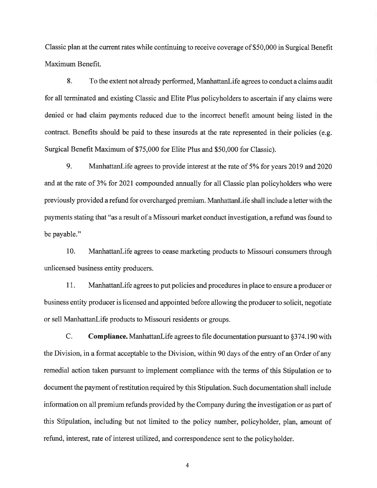Classic plan at the current rates while continuing to receive coverage of \$50,000 in Surgical Benefit Maximum Benefit.

To the extent not already performed, ManhattanLife agrees to conduct a claims audit 8. for all terminated and existing Classic and Elite Plus policyholders to ascertain if any claims were denied or had claim payments reduced due to the incorrect benefit amount being listed in the contract. Benefits should be paid to these insureds at the rate represented in their policies (e.g. Surgical Benefit Maximum of \$75,000 for Elite Plus and \$50,000 for Classic).

9. ManhattanLife agrees to provide interest at the rate of 5% for years 2019 and 2020 and at the rate of 3% for 2021 compounded annually for all Classic plan policyholders who were previously provided a refund for overcharged premium. ManhattanLife shall include a letter with the payments stating that "as a result of a Missouri market conduct investigation, a refund was found to be payable."

10. ManhattanLife agrees to cease marketing products to Missouri consumers through unlicensed business entity producers.

11. ManhattanLife agrees to put policies and procedures in place to ensure a producer or business entity producer is licensed and appointed before allowing the producer to solicit, negotiate or sell ManhattanLife products to Missouri residents or groups.

C. **Compliance.** Manhattan Life agrees to file documentation pursuant to  $\S374.190$  with the Division, in a format acceptable to the Division, within 90 days of the entry of an Order of any remedial action taken pursuant to implement compliance with the terms of this Stipulation or to document the payment of restitution required by this Stipulation. Such documentation shall include information on all premium refunds provided by the Company during the investigation or as part of this Stipulation, including but not limited to the policy number, policyholder, plan, amount of refund, interest, rate of interest utilized, and correspondence sent to the policyholder.

4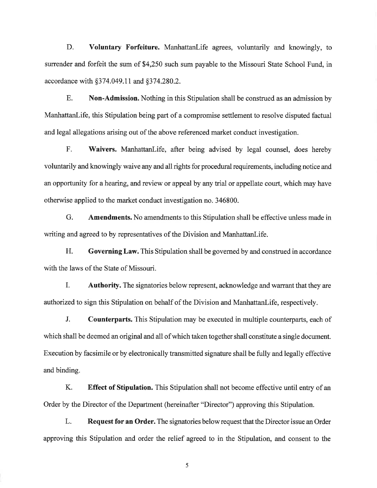D. Voluntary Forfeiture. ManhattanLife agrees, voluntarily and knowingly, to surrender and forfeit the sum of \$4,250 such sum payable to the Missouri State School Fund, in accordance with §374.049.11 and §374.280.2.

 $E.$ **Non-Admission.** Nothing in this Stipulation shall be construed as an admission by ManhattanLife, this Stipulation being part of a compromise settlement to resolve disputed factual and legal allegations arising out of the above referenced market conduct investigation.

F. Waivers. ManhattanLife, after being advised by legal counsel, does hereby voluntarily and knowingly waive any and all rights for procedural requirements, including notice and an opportunity for a hearing, and review or appeal by any trial or appellate court, which may have otherwise applied to the market conduct investigation no. 346800.

 $G<sub>r</sub>$ **Amendments.** No amendments to this Stipulation shall be effective unless made in writing and agreed to by representatives of the Division and ManhattanLife.

H. Governing Law. This Stipulation shall be governed by and construed in accordance with the laws of the State of Missouri.

 $\mathbf{I}$ . **Authority.** The signatories below represent, acknowledge and warrant that they are authorized to sign this Stipulation on behalf of the Division and Manhattan Life, respectively.

 $J<sub>r</sub>$ **Counterparts.** This Stipulation may be executed in multiple counterparts, each of which shall be deemed an original and all of which taken together shall constitute a single document. Execution by facsimile or by electronically transmitted signature shall be fully and legally effective and binding.

K. **Effect of Stipulation.** This Stipulation shall not become effective until entry of an Order by the Director of the Department (hereinafter "Director") approving this Stipulation.

L. **Request for an Order.** The signatories below request that the Director issue an Order approving this Stipulation and order the relief agreed to in the Stipulation, and consent to the

5